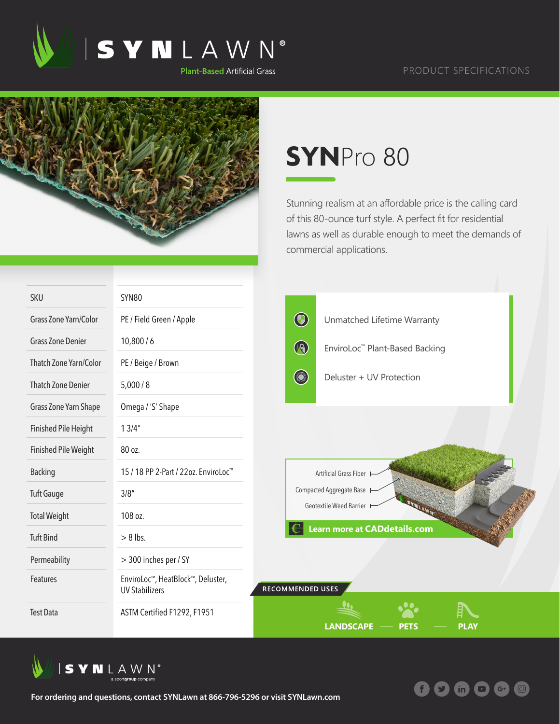



## **SYN**Pro 80

Stunning realism at an affordable price is the calling card of this 80-ounce turf style. A perfect fit for residential lawns as well as durable enough to meet the demands of commercial applications.

O

 $\mathbf{in}$ 

 $G^+$ 

| <b>SKU</b>                  | <b>SYN80</b>                                               |                          |                                     |             |  |
|-----------------------------|------------------------------------------------------------|--------------------------|-------------------------------------|-------------|--|
| Grass Zone Yarn/Color       | PE / Field Green / Apple                                   | $\bigcirc$               | Unmatched Lifetime Warranty         |             |  |
| <b>Grass Zone Denier</b>    | 10,800/6                                                   | $\bigcirc$               | EnviroLoc™ Plant-Based Backing      |             |  |
| Thatch Zone Yarn/Color      | PE / Beige / Brown                                         |                          |                                     |             |  |
| <b>Thatch Zone Denier</b>   | 5,000/8                                                    | <b>County</b>            | Deluster + UV Protection            |             |  |
| Grass Zone Yarn Shape       | Omega / 'S' Shape                                          |                          |                                     |             |  |
| <b>Finished Pile Height</b> | 13/4"                                                      |                          |                                     |             |  |
| <b>Finished Pile Weight</b> | 80 oz.                                                     |                          |                                     |             |  |
| <b>Backing</b>              | 15 / 18 PP 2-Part / 22oz. EnviroLoc <sup>™</sup>           |                          | Artificial Grass Fiber              |             |  |
| <b>Tuft Gauge</b>           | 3/8''                                                      | Compacted Aggregate Base |                                     |             |  |
| <b>Total Weight</b>         | 108 oz.                                                    |                          | Geotextile Weed Barrier             |             |  |
| <b>Tuft Bind</b>            | $> 8$ lbs.                                                 |                          | <b>Learn more at CADdetails.com</b> |             |  |
| Permeability                | > 300 inches per / SY                                      |                          |                                     |             |  |
| Features                    | EnviroLoc™, HeatBlock™, Deluster,<br><b>UV Stabilizers</b> | <b>RECOMMENDED USES</b>  |                                     |             |  |
| <b>Test Data</b>            | ASTM Certified F1292, F1951                                |                          | <b>LANDSCAPE</b><br><b>PETS</b>     | <b>PLAY</b> |  |



**For ordering and questions, contact SYNLawn at 866-796-5296 or visit SYNLawn.com**